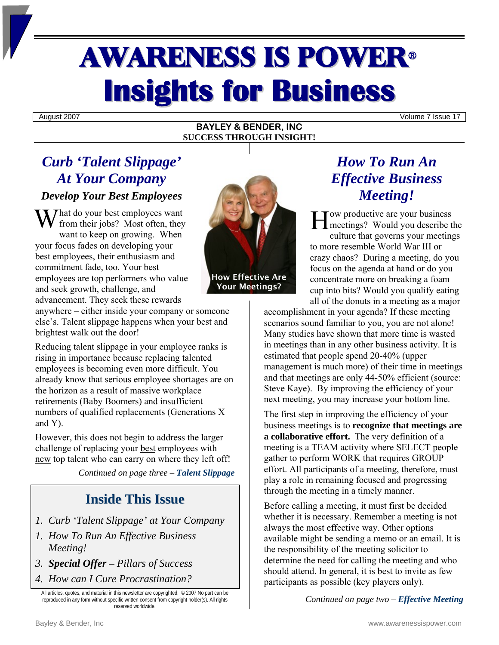# AWARENESS IS POWER<sup>ü</sup> **Insights for Business**

August 2007 Volume 7 Issue 17

#### **BAYLEY & BENDER, INC SUCCESS THROUGH INSIGHT!**

# *Curb 'Talent Slippage' At Your Company*

## *Develop Your Best Employees*

What do your best employees want<br>
from their jobs? Most often, they<br>
want to keep on growing When<br>
When from their jobs? Most often, they want to keep on growing. When your focus fades on developing your best employees, their enthusiasm and commitment fade, too. Your best employees are top performers who value and seek growth, challenge, and advancement. They seek these rewards



Your Meetings?

anywhere – either inside your company or someone else's. Talent slippage happens when your best and brightest walk out the door!

Reducing talent slippage in your employee ranks is rising in importance because replacing talented employees is becoming even more difficult. You already know that serious employee shortages are on the horizon as a result of massive workplace retirements (Baby Boomers) and insufficient numbers of qualified replacements (Generations X and Y).

However, this does not begin to address the larger challenge of replacing your best employees with new top talent who can carry on where they left off!

*Continued on page three – Talent Slippage*

## **Inside This Issue**

- *1. Curb 'Talent Slippage' at Your Company*
- *1. How To Run An Effective Business Meeting!*
- *3. Special Offer Pillars of Success*
- *4. How can I Cure Procrastination?*

All articles, quotes, and material in this newsletter are copyrighted. © 2007 No part can be reproduced in any form without specific written consent from copyright holder(s). All rights reserved worldwide.

# *How To Run An Effective Business Meeting!*

ow productive are your business meetings? Would you describe the culture that governs your meetings to more resemble World War III or crazy chaos? During a meeting, do you focus on the agenda at hand or do you concentrate more on breaking a foam cup into bits? Would you qualify eating all of the donuts in a meeting as a major

accomplishment in your agenda? If these meeting scenarios sound familiar to you, you are not alone! Many studies have shown that more time is wasted in meetings than in any other business activity. It is estimated that people spend 20-40% (upper management is much more) of their time in meetings and that meetings are only 44-50% efficient (source: Steve Kaye). By improving the efficiency of your next meeting, you may increase your bottom line.

The first step in improving the efficiency of your business meetings is to **recognize that meetings are a collaborative effort.** The very definition of a meeting is a TEAM activity where SELECT people gather to perform WORK that requires GROUP effort. All participants of a meeting, therefore, must play a role in remaining focused and progressing through the meeting in a timely manner.

Before calling a meeting, it must first be decided whether it is necessary. Remember a meeting is not always the most effective way. Other options available might be sending a memo or an email. It is the responsibility of the meeting solicitor to determine the need for calling the meeting and who should attend. In general, it is best to invite as few participants as possible (key players only).

*Continued on page two – Effective Meeting*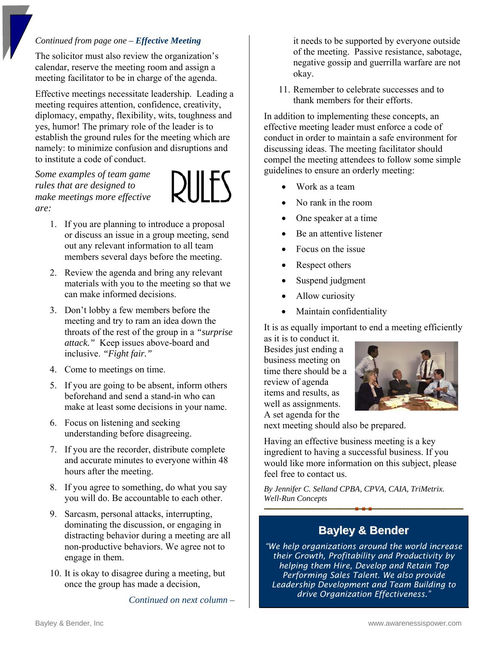#### *Continued from page one – Effective Meeting*

The solicitor must also review the organization's calendar, reserve the meeting room and assign a meeting facilitator to be in charge of the agenda.

Effective meetings necessitate leadership. Leading a meeting requires attention, confidence, creativity, diplomacy, empathy, flexibility, wits, toughness and yes, humor! The primary role of the leader is to establish the ground rules for the meeting which are namely: to minimize confusion and disruptions and to institute a code of conduct.

*Some examples of team game rules that are designed to make meetings more effective are:* 



- 1. If you are planning to introduce a proposal or discuss an issue in a group meeting, send out any relevant information to all team members several days before the meeting.
- 2. Review the agenda and bring any relevant materials with you to the meeting so that we can make informed decisions.
- 3. Don't lobby a few members before the meeting and try to ram an idea down the throats of the rest of the group in a *"surprise attack."* Keep issues above-board and inclusive. *"Fight fair."*
- 4. Come to meetings on time.
- 5. If you are going to be absent, inform others beforehand and send a stand-in who can make at least some decisions in your name.
- 6. Focus on listening and seeking understanding before disagreeing.
- 7. If you are the recorder, distribute complete and accurate minutes to everyone within 48 hours after the meeting.
- 8. If you agree to something, do what you say you will do. Be accountable to each other.
- 9. Sarcasm, personal attacks, interrupting, dominating the discussion, or engaging in distracting behavior during a meeting are all non-productive behaviors. We agree not to engage in them.
- 10. It is okay to disagree during a meeting, but once the group has made a decision,

*Continued on next column –* 

it needs to be supported by everyone outside of the meeting. Passive resistance, sabotage, negative gossip and guerrilla warfare are not okay.

11. Remember to celebrate successes and to thank members for their efforts.

In addition to implementing these concepts, an effective meeting leader must enforce a code of conduct in order to maintain a safe environment for discussing ideas. The meeting facilitator should compel the meeting attendees to follow some simple guidelines to ensure an orderly meeting:

- Work as a team
- No rank in the room
- One speaker at a time
- Be an attentive listener
- Focus on the issue
- Respect others
- Suspend judgment
- Allow curiosity
- Maintain confidentiality

It is as equally important to end a meeting efficiently

as it is to conduct it. Besides just ending a business meeting on time there should be a review of agenda items and results, as well as assignments. A set agenda for the



next meeting should also be prepared.

Having an effective business meeting is a key ingredient to having a successful business. If you would like more information on this subject, please feel free to contact us.

*By Jennifer C. Selland CPBA, CPVA, CAIA, TriMetrix. Well-Run Concepts* 

### **Bayley & Bender**

*"We help organizations around the world increase their Growth, Profitability and Productivity by helping them Hire, Develop and Retain Top Performing Sales Talent. We also provide Leadership Development and Team Building to drive Organization Effectiveness."*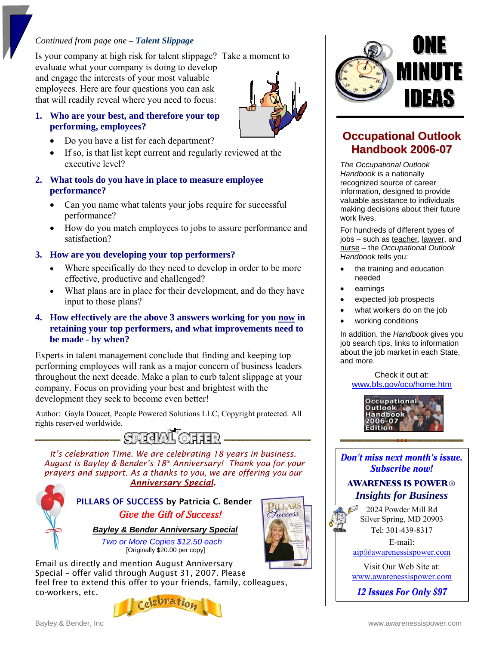#### *Continued from page one – Talent Slippage*

Is your company at high risk for talent slippage? Take a moment to

evaluate what your company is doing to develop and engage the interests of your most valuable employees. Here are four questions you can ask that will readily reveal where you need to focus:

#### **1. Who are your best, and therefore your top performing, employees?**

- Do you have a list for each department?
- If so, is that list kept current and regularly reviewed at the executive level?
- **2. What tools do you have in place to measure employee performance?** 
	- Can you name what talents your jobs require for successful performance?
	- How do you match employees to jobs to assure performance and satisfaction?

#### **3. How are you developing your top performers?**

- Where specifically do they need to develop in order to be more effective, productive and challenged?
- What plans are in place for their development, and do they have input to those plans?

#### **4. How effectively are the above 3 answers working for you now in retaining your top performers, and what improvements need to be made - by when?**

Experts in talent management conclude that finding and keeping top performing employees will rank as a major concern of business leaders throughout the next decade. Make a plan to curb talent slippage at your company. Focus on providing your best and brightest with the development they seek to become even better!

Author: Gayla Doucet, People Powered Solutions LLC, Copyright protected. All rights reserved worldwide.



*It's celebration Time. We are celebrating 18 years in business. August is Bayley & Bender's 18th Anniversary! Thank you for your prayers and support. As a thanks to you, we are offering you our Anniversary Special.*

## PILLARS OF SUCCESS by Patricia C. Bende**r Give the Gift of Success!**

 *Bayley & Bender Anniversary Special*

 *Two or More Copies \$12.50 each*  [Originally \$20.00 per copy]







**LLARS** Tuccess



## **Occupational Outlook Handbook 2006-07**

*The Occupational Outlook Handbook* is a nationally recognized source of career information, designed to provide valuable assistance to individuals making decisions about their future work lives.

For hundreds of different types of jobs – such as teacher, lawyer, and nurse – the *Occupational Outlook Handbook* tells you:

- the training and education needed
- earnings
- expected job prospects
- what workers do on the job
- working conditions

In addition, the *Handbook* gives you job search tips, links to information about the job market in each State, and more.

Check it out at: www.bls.gov/oco/home.htm



Don't miss next month's issue. **Subscribe now!** 

#### **AWARENESS IS POWER®** *Insights for Business*

2024 Powder Mill Rd Silver Spring, MD 20903 Tel: 301-439-8317

E-mail:

aip@awarenessispower.com

Visit Our Web Site at: www.awarenessispower.com

12 **Issues For Only \$97**